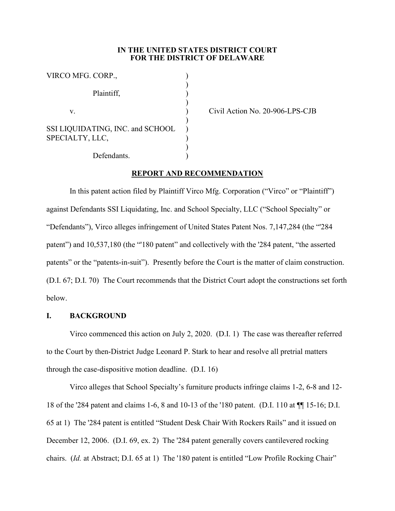## **IN THE UNITED STATES DISTRICT COURT FOR THE DISTRICT OF DELAWARE**

| VIRCO MFG. CORP.,                                   |  |
|-----------------------------------------------------|--|
| Plaintiff,                                          |  |
| V.                                                  |  |
| SSI LIQUIDATING, INC. and SCHOOL<br>SPECIALTY, LLC, |  |
| Defendants.                                         |  |

Civil Action No. 20-906-LPS-CJB

# **REPORT AND RECOMMENDATION**

In this patent action filed by Plaintiff Virco Mfg. Corporation ("Virco" or "Plaintiff") against Defendants SSI Liquidating, Inc. and School Specialty, LLC ("School Specialty" or "Defendants"), Virco alleges infringement of United States Patent Nos. 7,147,284 (the "'284 patent") and 10,537,180 (the "'180 patent" and collectively with the '284 patent, "the asserted patents" or the "patents-in-suit"). Presently before the Court is the matter of claim construction. (D.I. 67; D.I. 70) The Court recommends that the District Court adopt the constructions set forth below.

# **I. BACKGROUND**

Virco commenced this action on July 2, 2020. (D.I. 1) The case was thereafter referred to the Court by then-District Judge Leonard P. Stark to hear and resolve all pretrial matters through the case-dispositive motion deadline. (D.I. 16)

Virco alleges that School Specialty's furniture products infringe claims 1-2, 6-8 and 12- 18 of the '284 patent and claims 1-6, 8 and 10-13 of the '180 patent. (D.I. 110 at ¶¶ 15-16; D.I. 65 at 1) The '284 patent is entitled "Student Desk Chair With Rockers Rails" and it issued on December 12, 2006. (D.I. 69, ex. 2) The '284 patent generally covers cantilevered rocking chairs. (*Id.* at Abstract; D.I. 65 at 1) The '180 patent is entitled "Low Profile Rocking Chair"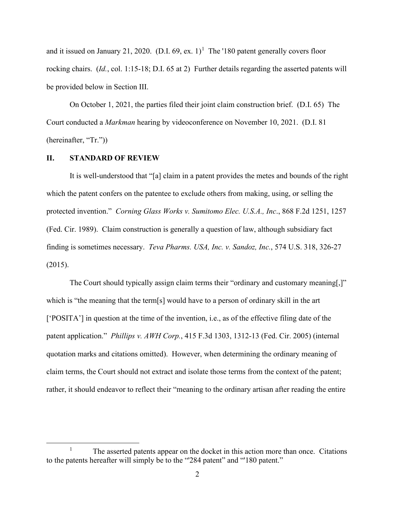and it issued on January 21, 2020. (D.I. 69, ex.  $1$ )<sup>1</sup> The '180 patent generally covers floor rocking chairs. (*Id.*, col. 1:15-18; D.I. 65 at 2) Further details regarding the asserted patents will be provided below in Section III.

On October 1, 2021, the parties filed their joint claim construction brief. (D.I. 65) The Court conducted a *Markman* hearing by videoconference on November 10, 2021. (D.I. 81 (hereinafter, "Tr."))

### **II. STANDARD OF REVIEW**

It is well-understood that "[a] claim in a patent provides the metes and bounds of the right which the patent confers on the patentee to exclude others from making, using, or selling the protected invention." *Corning Glass Works v. Sumitomo Elec. U.S.A., Inc*., 868 F.2d 1251, 1257 (Fed. Cir. 1989). Claim construction is generally a question of law, although subsidiary fact finding is sometimes necessary. *Teva Pharms. USA, Inc. v. Sandoz, Inc.*, 574 U.S. 318, 326-27 (2015).

The Court should typically assign claim terms their "ordinary and customary meaning[,]" which is "the meaning that the term[s] would have to a person of ordinary skill in the art ['POSITA'] in question at the time of the invention, i.e., as of the effective filing date of the patent application." *Phillips v. AWH Corp.*, 415 F.3d 1303, 1312-13 (Fed. Cir. 2005) (internal quotation marks and citations omitted). However, when determining the ordinary meaning of claim terms, the Court should not extract and isolate those terms from the context of the patent; rather, it should endeavor to reflect their "meaning to the ordinary artisan after reading the entire

<sup>&</sup>lt;sup>1</sup> The asserted patents appear on the docket in this action more than once. Citations to the patents hereafter will simply be to the "'284 patent" and "'180 patent."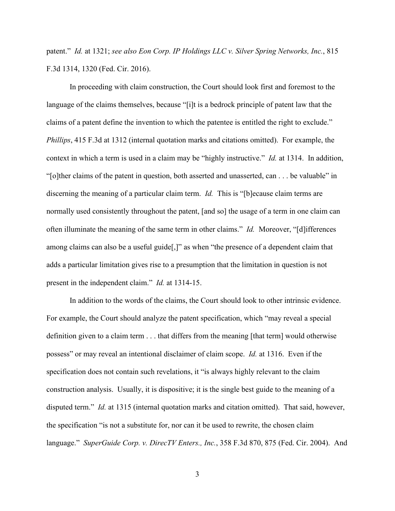patent." *Id.* at 1321; *see also Eon Corp. IP Holdings LLC v. Silver Spring Networks, Inc.*, 815 F.3d 1314, 1320 (Fed. Cir. 2016).

In proceeding with claim construction, the Court should look first and foremost to the language of the claims themselves, because "[i]t is a bedrock principle of patent law that the claims of a patent define the invention to which the patentee is entitled the right to exclude." *Phillips*, 415 F.3d at 1312 (internal quotation marks and citations omitted). For example, the context in which a term is used in a claim may be "highly instructive." *Id.* at 1314. In addition, "[o]ther claims of the patent in question, both asserted and unasserted, can . . . be valuable" in discerning the meaning of a particular claim term. *Id.* This is "[b]ecause claim terms are normally used consistently throughout the patent, [and so] the usage of a term in one claim can often illuminate the meaning of the same term in other claims." *Id.* Moreover, "[d]ifferences among claims can also be a useful guide[,]" as when "the presence of a dependent claim that adds a particular limitation gives rise to a presumption that the limitation in question is not present in the independent claim." *Id.* at 1314-15.

In addition to the words of the claims, the Court should look to other intrinsic evidence. For example, the Court should analyze the patent specification, which "may reveal a special definition given to a claim term . . . that differs from the meaning [that term] would otherwise possess" or may reveal an intentional disclaimer of claim scope. *Id.* at 1316. Even if the specification does not contain such revelations, it "is always highly relevant to the claim construction analysis. Usually, it is dispositive; it is the single best guide to the meaning of a disputed term." *Id.* at 1315 (internal quotation marks and citation omitted). That said, however, the specification "is not a substitute for, nor can it be used to rewrite, the chosen claim language." *SuperGuide Corp. v. DirecTV Enters., Inc.*, 358 F.3d 870, 875 (Fed. Cir. 2004). And

3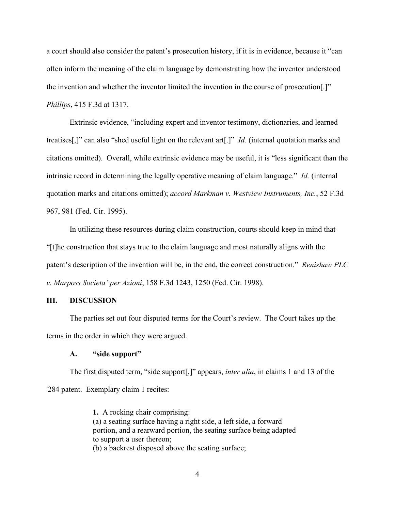a court should also consider the patent's prosecution history, if it is in evidence, because it "can often inform the meaning of the claim language by demonstrating how the inventor understood the invention and whether the inventor limited the invention in the course of prosecution[.]" *Phillips*, 415 F.3d at 1317.

Extrinsic evidence, "including expert and inventor testimony, dictionaries, and learned treatises[,]" can also "shed useful light on the relevant art[.]" *Id.* (internal quotation marks and citations omitted). Overall, while extrinsic evidence may be useful, it is "less significant than the intrinsic record in determining the legally operative meaning of claim language." *Id.* (internal quotation marks and citations omitted); *accord Markman v. Westview Instruments, Inc.*, 52 F.3d 967, 981 (Fed. Cir. 1995).

In utilizing these resources during claim construction, courts should keep in mind that "[t]he construction that stays true to the claim language and most naturally aligns with the patent's description of the invention will be, in the end, the correct construction." *Renishaw PLC v. Marposs Societa' per Azioni*, 158 F.3d 1243, 1250 (Fed. Cir. 1998).

### **III. DISCUSSION**

The parties set out four disputed terms for the Court's review. The Court takes up the terms in the order in which they were argued.

### **A. "side support"**

The first disputed term, "side support[,]" appears, *inter alia*, in claims 1 and 13 of the '284 patent. Exemplary claim 1 recites:

> **1.** A rocking chair comprising: (a) a seating surface having a right side, a left side, a forward portion, and a rearward portion, the seating surface being adapted to support a user thereon; (b) a backrest disposed above the seating surface;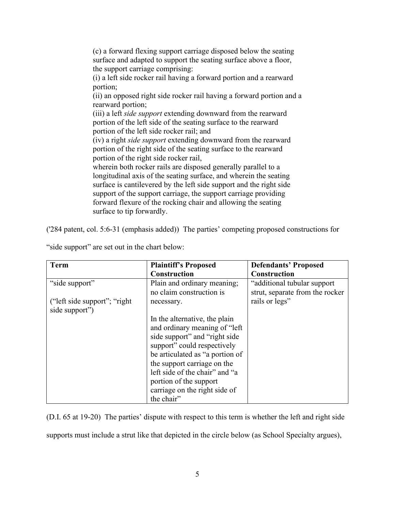(c) a forward flexing support carriage disposed below the seating surface and adapted to support the seating surface above a floor, the support carriage comprising: (i) a left side rocker rail having a forward portion and a rearward portion; (ii) an opposed right side rocker rail having a forward portion and a rearward portion; (iii) a left *side support* extending downward from the rearward portion of the left side of the seating surface to the rearward portion of the left side rocker rail; and (iv) a right *side support* extending downward from the rearward portion of the right side of the seating surface to the rearward portion of the right side rocker rail, wherein both rocker rails are disposed generally parallel to a longitudinal axis of the seating surface, and wherein the seating surface is cantilevered by the left side support and the right side support of the support carriage, the support carriage providing forward flexure of the rocking chair and allowing the seating surface to tip forwardly.

('284 patent, col. 5:6-31 (emphasis added)) The parties' competing proposed constructions for

| <b>Term</b>                    | <b>Plaintiff's Proposed</b>     | <b>Defendants' Proposed</b>     |
|--------------------------------|---------------------------------|---------------------------------|
|                                | <b>Construction</b>             | <b>Construction</b>             |
| "side support"                 | Plain and ordinary meaning;     | "additional tubular support     |
|                                | no claim construction is        | strut, separate from the rocker |
| ("left side support"; "right") | necessary.                      | rails or legs"                  |
| side support")                 |                                 |                                 |
|                                | In the alternative, the plain   |                                 |
|                                | and ordinary meaning of "left   |                                 |
|                                | side support" and "right side"  |                                 |
|                                | support" could respectively     |                                 |
|                                | be articulated as "a portion of |                                 |
|                                | the support carriage on the     |                                 |
|                                | left side of the chair" and "a  |                                 |
|                                | portion of the support          |                                 |
|                                | carriage on the right side of   |                                 |
|                                | the chair"                      |                                 |

"side support" are set out in the chart below:

(D.I. 65 at 19-20) The parties' dispute with respect to this term is whether the left and right side supports must include a strut like that depicted in the circle below (as School Specialty argues),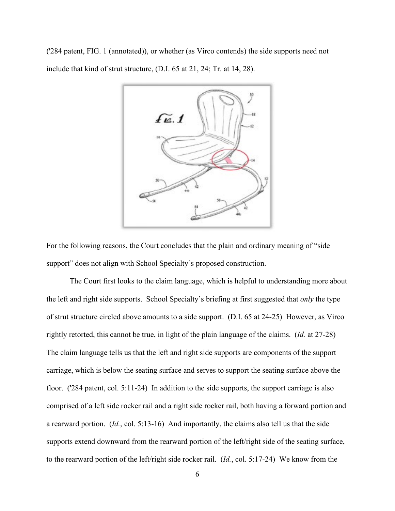('284 patent, FIG. 1 (annotated)), or whether (as Virco contends) the side supports need not include that kind of strut structure, (D.I. 65 at 21, 24; Tr. at 14, 28).



For the following reasons, the Court concludes that the plain and ordinary meaning of "side support" does not align with School Specialty's proposed construction.

The Court first looks to the claim language, which is helpful to understanding more about the left and right side supports. School Specialty's briefing at first suggested that *only* the type of strut structure circled above amounts to a side support. (D.I. 65 at 24-25) However, as Virco rightly retorted, this cannot be true, in light of the plain language of the claims. (*Id.* at 27-28) The claim language tells us that the left and right side supports are components of the support carriage, which is below the seating surface and serves to support the seating surface above the floor. ('284 patent, col. 5:11-24) In addition to the side supports, the support carriage is also comprised of a left side rocker rail and a right side rocker rail, both having a forward portion and a rearward portion. (*Id.*, col. 5:13-16) And importantly, the claims also tell us that the side supports extend downward from the rearward portion of the left/right side of the seating surface, to the rearward portion of the left/right side rocker rail. (*Id.*, col. 5:17-24) We know from the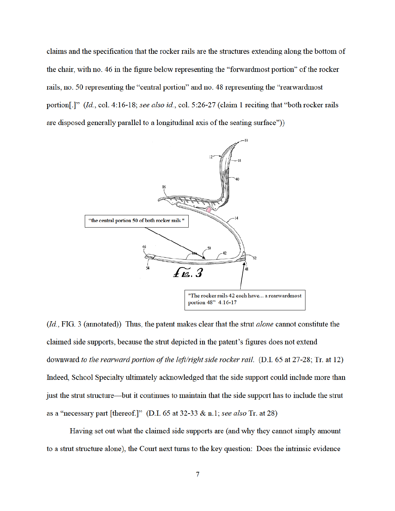claims and the specification that the rocker rails are the structures extending along the bottom of the chair, with no. 46 in the figure below representing the "forward most portion" of the rocker rails, no. 50 representing the "central portion" and no. 48 representing the "rearwardmost" portion[.]" (Id., col. 4:16-18; see also id., col. 5:26-27 (claim 1 reciting that "both rocker rails are disposed generally parallel to a longitudinal axis of the seating surface"))



(Id., FIG. 3 (annotated)) Thus, the patent makes clear that the strut *alone* cannot constitute the claimed side supports, because the strut depicted in the patent's figures does not extend downward to the rearward portion of the left/right side rocker rail. (D.I. 65 at 27-28; Tr. at 12) Indeed, School Specialty ultimately acknowledged that the side support could include more than just the strut structure—but it continues to maintain that the side support has to include the strut as a "necessary part [thereof.]" (D.I. 65 at 32-33 & n.1; see also Tr. at 28)

Having set out what the claimed side supports are (and why they cannot simply amount to a strut structure alone), the Court next turns to the key question: Does the intrinsic evidence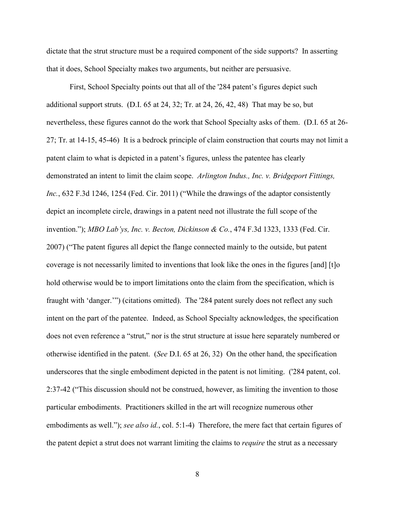dictate that the strut structure must be a required component of the side supports? In asserting that it does, School Specialty makes two arguments, but neither are persuasive.

First, School Specialty points out that all of the '284 patent's figures depict such additional support struts. (D.I. 65 at 24, 32; Tr. at 24, 26, 42, 48) That may be so, but nevertheless, these figures cannot do the work that School Specialty asks of them. (D.I. 65 at 26- 27; Tr. at 14-15, 45-46) It is a bedrock principle of claim construction that courts may not limit a patent claim to what is depicted in a patent's figures, unless the patentee has clearly demonstrated an intent to limit the claim scope. *Arlington Indus., Inc. v. Bridgeport Fittings, Inc.*, 632 F.3d 1246, 1254 (Fed. Cir. 2011) ("While the drawings of the adaptor consistently depict an incomplete circle, drawings in a patent need not illustrate the full scope of the invention."); *MBO Lab'ys, Inc. v. Becton, Dickinson & Co.*, 474 F.3d 1323, 1333 (Fed. Cir. 2007) ("The patent figures all depict the flange connected mainly to the outside, but patent coverage is not necessarily limited to inventions that look like the ones in the figures [and] [t]o hold otherwise would be to import limitations onto the claim from the specification, which is fraught with 'danger.'") (citations omitted). The '284 patent surely does not reflect any such intent on the part of the patentee. Indeed, as School Specialty acknowledges, the specification does not even reference a "strut," nor is the strut structure at issue here separately numbered or otherwise identified in the patent. (*See* D.I. 65 at 26, 32) On the other hand, the specification underscores that the single embodiment depicted in the patent is not limiting. ('284 patent, col. 2:37-42 ("This discussion should not be construed, however, as limiting the invention to those particular embodiments. Practitioners skilled in the art will recognize numerous other embodiments as well."); *see also id.*, col. 5:1-4) Therefore, the mere fact that certain figures of the patent depict a strut does not warrant limiting the claims to *require* the strut as a necessary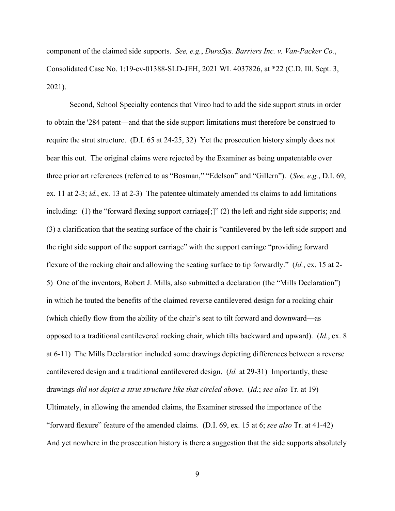component of the claimed side supports. *See, e.g.*, *DuraSys. Barriers Inc. v. Van-Packer Co.*, Consolidated Case No. 1:19-cv-01388-SLD-JEH, 2021 WL 4037826, at \*22 (C.D. Ill. Sept. 3, 2021).

Second, School Specialty contends that Virco had to add the side support struts in order to obtain the '284 patent—and that the side support limitations must therefore be construed to require the strut structure. (D.I. 65 at 24-25, 32) Yet the prosecution history simply does not bear this out. The original claims were rejected by the Examiner as being unpatentable over three prior art references (referred to as "Bosman," "Edelson" and "Gillern"). (*See, e.g.*, D.I. 69, ex. 11 at 2-3; *id.*, ex. 13 at 2-3) The patentee ultimately amended its claims to add limitations including: (1) the "forward flexing support carriage<sup>[;]"</sup> (2) the left and right side supports; and (3) a clarification that the seating surface of the chair is "cantilevered by the left side support and the right side support of the support carriage" with the support carriage "providing forward flexure of the rocking chair and allowing the seating surface to tip forwardly." (*Id.*, ex. 15 at 2- 5) One of the inventors, Robert J. Mills, also submitted a declaration (the "Mills Declaration") in which he touted the benefits of the claimed reverse cantilevered design for a rocking chair (which chiefly flow from the ability of the chair's seat to tilt forward and downward—as opposed to a traditional cantilevered rocking chair, which tilts backward and upward). (*Id.*, ex. 8 at 6-11) The Mills Declaration included some drawings depicting differences between a reverse cantilevered design and a traditional cantilevered design. (*Id.* at 29-31) Importantly, these drawings *did not depict a strut structure like that circled above*. (*Id.*; *see also* Tr. at 19) Ultimately, in allowing the amended claims, the Examiner stressed the importance of the "forward flexure" feature of the amended claims. (D.I. 69, ex. 15 at 6; *see also* Tr. at 41-42) And yet nowhere in the prosecution history is there a suggestion that the side supports absolutely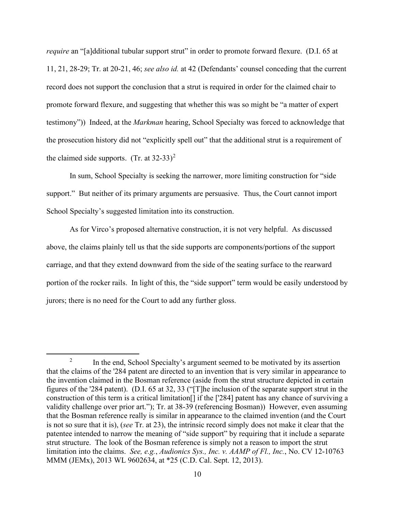*require* an "[a]dditional tubular support strut" in order to promote forward flexure. (D.I. 65 at 11, 21, 28-29; Tr. at 20-21, 46; *see also id.* at 42 (Defendants' counsel conceding that the current record does not support the conclusion that a strut is required in order for the claimed chair to promote forward flexure, and suggesting that whether this was so might be "a matter of expert testimony")) Indeed, at the *Markman* hearing, School Specialty was forced to acknowledge that the prosecution history did not "explicitly spell out" that the additional strut is a requirement of the claimed side supports. (Tr. at  $32-33$ )<sup>2</sup>

In sum, School Specialty is seeking the narrower, more limiting construction for "side support." But neither of its primary arguments are persuasive. Thus, the Court cannot import School Specialty's suggested limitation into its construction.

As for Virco's proposed alternative construction, it is not very helpful. As discussed above, the claims plainly tell us that the side supports are components/portions of the support carriage, and that they extend downward from the side of the seating surface to the rearward portion of the rocker rails. In light of this, the "side support" term would be easily understood by jurors; there is no need for the Court to add any further gloss.

<sup>&</sup>lt;sup>2</sup> In the end, School Specialty's argument seemed to be motivated by its assertion that the claims of the '284 patent are directed to an invention that is very similar in appearance to the invention claimed in the Bosman reference (aside from the strut structure depicted in certain figures of the '284 patent). (D.I. 65 at 32, 33 ("[T]he inclusion of the separate support strut in the construction of this term is a critical limitation[] if the ['284] patent has any chance of surviving a validity challenge over prior art."); Tr. at 38-39 (referencing Bosman)) However, even assuming that the Bosman reference really is similar in appearance to the claimed invention (and the Court is not so sure that it is), (*see* Tr. at 23), the intrinsic record simply does not make it clear that the patentee intended to narrow the meaning of "side support" by requiring that it include a separate strut structure. The look of the Bosman reference is simply not a reason to import the strut limitation into the claims. *See, e.g.*, *Audionics Sys., Inc. v. AAMP of Fl., Inc.*, No. CV 12-10763 MMM (JEMx), 2013 WL 9602634, at \*25 (C.D. Cal. Sept. 12, 2013).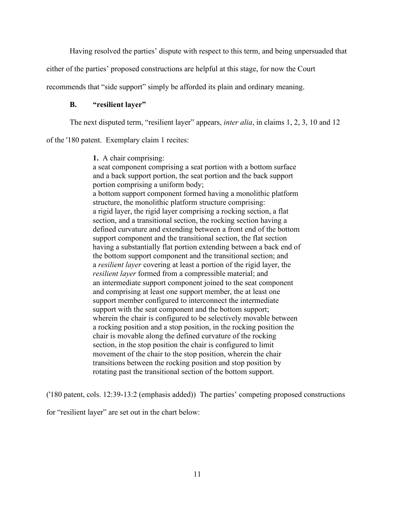Having resolved the parties' dispute with respect to this term, and being unpersuaded that

either of the parties' proposed constructions are helpful at this stage, for now the Court

recommends that "side support" simply be afforded its plain and ordinary meaning.

## **B. "resilient layer"**

The next disputed term, "resilient layer" appears, *inter alia*, in claims 1, 2, 3, 10 and 12

of the '180 patent. Exemplary claim 1 recites:

**1.** A chair comprising: a seat component comprising a seat portion with a bottom surface and a back support portion, the seat portion and the back support portion comprising a uniform body; a bottom support component formed having a monolithic platform structure, the monolithic platform structure comprising: a rigid layer, the rigid layer comprising a rocking section, a flat section, and a transitional section, the rocking section having a defined curvature and extending between a front end of the bottom support component and the transitional section, the flat section having a substantially flat portion extending between a back end of the bottom support component and the transitional section; and a *resilient layer* covering at least a portion of the rigid layer, the *resilient layer* formed from a compressible material; and an intermediate support component joined to the seat component and comprising at least one support member, the at least one support member configured to interconnect the intermediate support with the seat component and the bottom support; wherein the chair is configured to be selectively movable between a rocking position and a stop position, in the rocking position the chair is movable along the defined curvature of the rocking section, in the stop position the chair is configured to limit movement of the chair to the stop position, wherein the chair transitions between the rocking position and stop position by rotating past the transitional section of the bottom support.

('180 patent, cols. 12:39-13:2 (emphasis added)) The parties' competing proposed constructions

for "resilient layer" are set out in the chart below: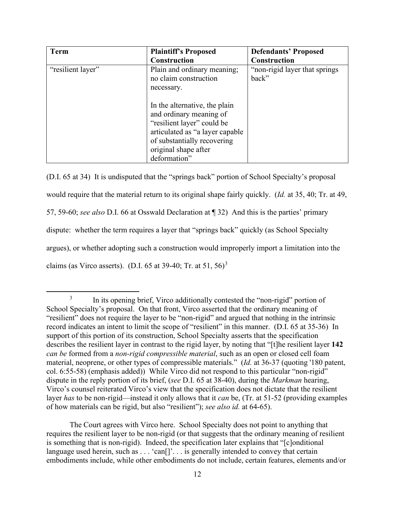| <b>Term</b>       | <b>Plaintiff's Proposed</b>                                                                                                                                                                      | <b>Defendants' Proposed</b>            |
|-------------------|--------------------------------------------------------------------------------------------------------------------------------------------------------------------------------------------------|----------------------------------------|
|                   | <b>Construction</b>                                                                                                                                                                              | Construction                           |
| "resilient layer" | Plain and ordinary meaning;<br>no claim construction<br>necessary.                                                                                                                               | "non-rigid layer that springs<br>back" |
|                   | In the alternative, the plain<br>and ordinary meaning of<br>"resilient layer" could be<br>articulated as "a layer capable<br>of substantially recovering<br>original shape after<br>deformation" |                                        |

(D.I. 65 at 34) It is undisputed that the "springs back" portion of School Specialty's proposal would require that the material return to its original shape fairly quickly. (*Id.* at 35, 40; Tr. at 49, 57, 59-60; *see also* D.I. 66 at Osswald Declaration at ¶ 32) And this is the parties' primary dispute: whether the term requires a layer that "springs back" quickly (as School Specialty argues), or whether adopting such a construction would improperly import a limitation into the claims (as Virco asserts). (D.I. 65 at 39-40; Tr. at  $51, 56$ )<sup>3</sup>

The Court agrees with Virco here. School Specialty does not point to anything that requires the resilient layer to be non-rigid (or that suggests that the ordinary meaning of resilient is something that is non-rigid). Indeed, the specification later explains that "[c]onditional language used herein, such as . . . 'can<sup>[]</sup>'. . . is generally intended to convey that certain embodiments include, while other embodiments do not include, certain features, elements and/or

<sup>&</sup>lt;sup>3</sup> In its opening brief, Virco additionally contested the "non-rigid" portion of School Specialty's proposal. On that front, Virco asserted that the ordinary meaning of "resilient" does not require the layer to be "non-rigid" and argued that nothing in the intrinsic record indicates an intent to limit the scope of "resilient" in this manner. (D.I. 65 at 35-36) In support of this portion of its construction, School Specialty asserts that the specification describes the resilient layer in contrast to the rigid layer, by noting that "[t]he resilient layer **142** *can be* formed from a *non-rigid compressible material*, such as an open or closed cell foam material, neoprene, or other types of compressible materials." (*Id.* at 36-37 (quoting '180 patent, col. 6:55-58) (emphasis added)) While Virco did not respond to this particular "non-rigid" dispute in the reply portion of its brief, (*see* D.I. 65 at 38-40), during the *Markman* hearing, Virco's counsel reiterated Virco's view that the specification does not dictate that the resilient layer *has* to be non-rigid—instead it only allows that it *can* be, (Tr. at 51-52 (providing examples of how materials can be rigid, but also "resilient"); *see also id.* at 64-65).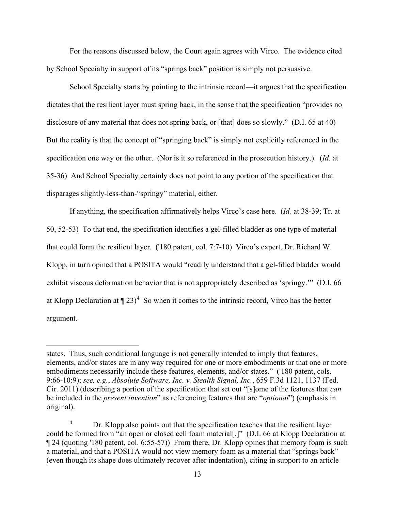For the reasons discussed below, the Court again agrees with Virco. The evidence cited by School Specialty in support of its "springs back" position is simply not persuasive.

School Specialty starts by pointing to the intrinsic record—it argues that the specification dictates that the resilient layer must spring back, in the sense that the specification "provides no disclosure of any material that does not spring back, or [that] does so slowly." (D.I. 65 at 40) But the reality is that the concept of "springing back" is simply not explicitly referenced in the specification one way or the other. (Nor is it so referenced in the prosecution history.). (*Id.* at 35-36) And School Specialty certainly does not point to any portion of the specification that disparages slightly-less-than-"springy" material, either.

If anything, the specification affirmatively helps Virco's case here. (*Id.* at 38-39; Tr. at 50, 52-53) To that end, the specification identifies a gel-filled bladder as one type of material that could form the resilient layer. ('180 patent, col. 7:7-10) Virco's expert, Dr. Richard W. Klopp, in turn opined that a POSITA would "readily understand that a gel-filled bladder would exhibit viscous deformation behavior that is not appropriately described as 'springy.'" (D.I. 66 at Klopp Declaration at  $\P$  23)<sup>4</sup> So when it comes to the intrinsic record, Virco has the better argument.

states. Thus, such conditional language is not generally intended to imply that features, elements, and/or states are in any way required for one or more embodiments or that one or more embodiments necessarily include these features, elements, and/or states." ('180 patent, cols. 9:66-10:9); *see, e.g.*, *Absolute Software, Inc. v. Stealth Signal, Inc.*, 659 F.3d 1121, 1137 (Fed. Cir. 2011) (describing a portion of the specification that set out "[s]ome of the features that *can* be included in the *present invention*" as referencing features that are "*optional*") (emphasis in original).

Dr. Klopp also points out that the specification teaches that the resilient layer could be formed from "an open or closed cell foam material[.]" (D.I. 66 at Klopp Declaration at ¶ 24 (quoting '180 patent, col. 6:55-57)) From there, Dr. Klopp opines that memory foam is such a material, and that a POSITA would not view memory foam as a material that "springs back" (even though its shape does ultimately recover after indentation), citing in support to an article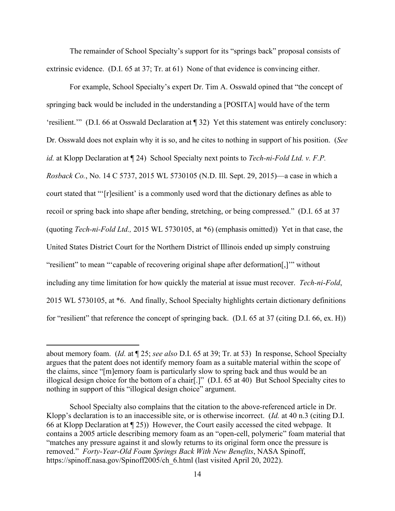The remainder of School Specialty's support for its "springs back" proposal consists of extrinsic evidence. (D.I. 65 at 37; Tr. at 61) None of that evidence is convincing either.

For example, School Specialty's expert Dr. Tim A. Osswald opined that "the concept of springing back would be included in the understanding a [POSITA] would have of the term 'resilient.'" (D.I. 66 at Osswald Declaration at ¶ 32) Yet this statement was entirely conclusory: Dr. Osswald does not explain why it is so, and he cites to nothing in support of his position. (*See id.* at Klopp Declaration at ¶ 24) School Specialty next points to *Tech-ni-Fold Ltd. v. F.P. Rosback Co.*, No. 14 C 5737, 2015 WL 5730105 (N.D. Ill. Sept. 29, 2015)—a case in which a court stated that "'[r]esilient' is a commonly used word that the dictionary defines as able to recoil or spring back into shape after bending, stretching, or being compressed." (D.I. 65 at 37 (quoting *Tech-ni-Fold Ltd.,* 2015 WL 5730105, at \*6) (emphasis omitted)) Yet in that case, the United States District Court for the Northern District of Illinois ended up simply construing "resilient" to mean "'capable of recovering original shape after deformation[,]'" without including any time limitation for how quickly the material at issue must recover. *Tech-ni*-*Fold*, 2015 WL 5730105, at \*6. And finally, School Specialty highlights certain dictionary definitions for "resilient" that reference the concept of springing back. (D.I. 65 at 37 (citing D.I. 66, ex. H))

about memory foam. (*Id.* at ¶ 25; *see also* D.I. 65 at 39; Tr. at 53) In response, School Specialty argues that the patent does not identify memory foam as a suitable material within the scope of the claims, since "[m]emory foam is particularly slow to spring back and thus would be an illogical design choice for the bottom of a chair[.]" (D.I. 65 at 40) But School Specialty cites to nothing in support of this "illogical design choice" argument.

School Specialty also complains that the citation to the above-referenced article in Dr. Klopp's declaration is to an inaccessible site, or is otherwise incorrect. (*Id.* at 40 n.3 (citing D.I. 66 at Klopp Declaration at ¶ 25)) However, the Court easily accessed the cited webpage. It contains a 2005 article describing memory foam as an "open-cell, polymeric" foam material that "matches any pressure against it and slowly returns to its original form once the pressure is removed." *Forty-Year-Old Foam Springs Back With New Benefits*, NASA Spinoff, https://spinoff.nasa.gov/Spinoff2005/ch\_6.html (last visited April 20, 2022).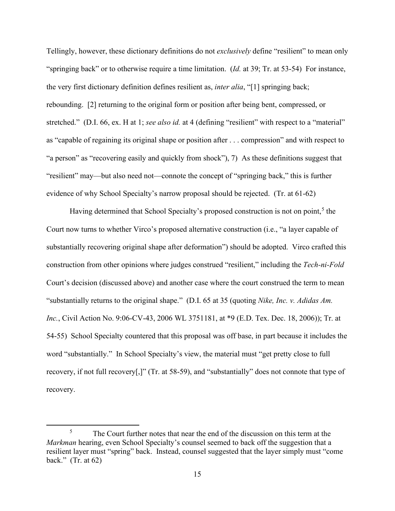Tellingly, however, these dictionary definitions do not *exclusively* define "resilient" to mean only "springing back" or to otherwise require a time limitation. (*Id.* at 39; Tr. at 53-54) For instance, the very first dictionary definition defines resilient as, *inter alia*, "[1] springing back; rebounding. [2] returning to the original form or position after being bent, compressed, or stretched." (D.I. 66, ex. H at 1; *see also id.* at 4 (defining "resilient" with respect to a "material" as "capable of regaining its original shape or position after . . . compression" and with respect to "a person" as "recovering easily and quickly from shock"), 7) As these definitions suggest that "resilient" may—but also need not—connote the concept of "springing back," this is further evidence of why School Specialty's narrow proposal should be rejected. (Tr. at 61-62)

Having determined that School Specialty's proposed construction is not on point,<sup>5</sup> the Court now turns to whether Virco's proposed alternative construction (i.e., "a layer capable of substantially recovering original shape after deformation") should be adopted. Virco crafted this construction from other opinions where judges construed "resilient," including the *Tech-ni-Fold*  Court's decision (discussed above) and another case where the court construed the term to mean "substantially returns to the original shape." (D.I. 65 at 35 (quoting *Nike, Inc. v. Adidas Am. Inc.*, Civil Action No. 9:06-CV-43, 2006 WL 3751181, at \*9 (E.D. Tex. Dec. 18, 2006)); Tr. at 54-55) School Specialty countered that this proposal was off base, in part because it includes the word "substantially." In School Specialty's view, the material must "get pretty close to full recovery, if not full recovery[,]" (Tr. at 58-59), and "substantially" does not connote that type of recovery.

<sup>&</sup>lt;sup>5</sup> The Court further notes that near the end of the discussion on this term at the *Markman* hearing, even School Specialty's counsel seemed to back off the suggestion that a resilient layer must "spring" back. Instead, counsel suggested that the layer simply must "come back." (Tr. at 62)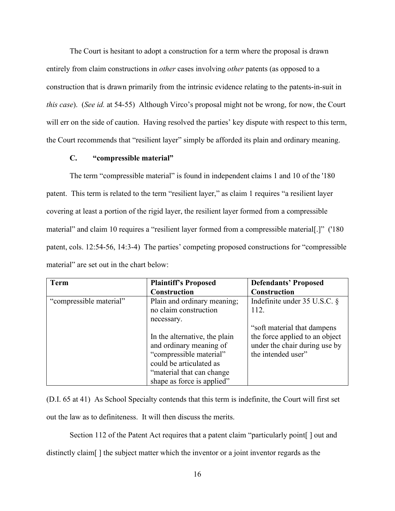The Court is hesitant to adopt a construction for a term where the proposal is drawn entirely from claim constructions in *other* cases involving *other* patents (as opposed to a construction that is drawn primarily from the intrinsic evidence relating to the patents-in-suit in *this case*). (*See id.* at 54-55) Although Virco's proposal might not be wrong, for now, the Court will err on the side of caution. Having resolved the parties' key dispute with respect to this term, the Court recommends that "resilient layer" simply be afforded its plain and ordinary meaning.

# **C. "compressible material"**

The term "compressible material" is found in independent claims 1 and 10 of the '180 patent. This term is related to the term "resilient layer," as claim 1 requires "a resilient layer covering at least a portion of the rigid layer, the resilient layer formed from a compressible material" and claim 10 requires a "resilient layer formed from a compressible material[.]" ('180 patent, cols. 12:54-56, 14:3-4) The parties' competing proposed constructions for "compressible material" are set out in the chart below:

| <b>Term</b>             | <b>Plaintiff's Proposed</b>   | <b>Defendants' Proposed</b>    |
|-------------------------|-------------------------------|--------------------------------|
|                         | <b>Construction</b>           | Construction                   |
| "compressible material" | Plain and ordinary meaning;   | Indefinite under $35$ U.S.C. § |
|                         | no claim construction         | 112.                           |
|                         | necessary.                    |                                |
|                         |                               | "soft material that dampens"   |
|                         | In the alternative, the plain | the force applied to an object |
|                         | and ordinary meaning of       | under the chair during use by  |
|                         | "compressible material"       | the intended user"             |
|                         | could be articulated as       |                                |
|                         | "material that can change"    |                                |
|                         | shape as force is applied"    |                                |

(D.I. 65 at 41) As School Specialty contends that this term is indefinite, the Court will first set out the law as to definiteness. It will then discuss the merits.

Section 112 of the Patent Act requires that a patent claim "particularly point | out and distinctly claim[ ] the subject matter which the inventor or a joint inventor regards as the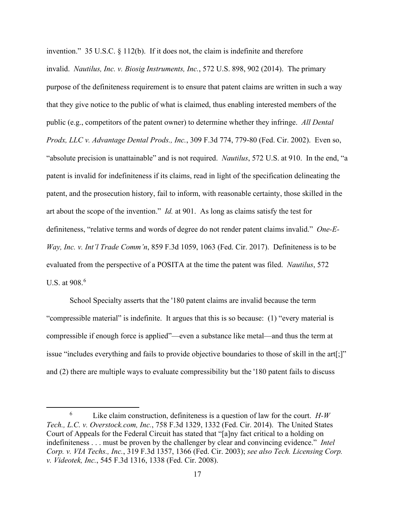invention." 35 U.S.C. § 112(b). If it does not, the claim is indefinite and therefore invalid. *Nautilus, Inc. v. Biosig Instruments, Inc.*, 572 U.S. 898, 902 (2014). The primary purpose of the definiteness requirement is to ensure that patent claims are written in such a way that they give notice to the public of what is claimed, thus enabling interested members of the public (e.g., competitors of the patent owner) to determine whether they infringe. *All Dental Prodx, LLC v. Advantage Dental Prods., Inc.*, 309 F.3d 774, 779-80 (Fed. Cir. 2002). Even so, "absolute precision is unattainable" and is not required. *Nautilus*, 572 U.S. at 910. In the end, "a patent is invalid for indefiniteness if its claims, read in light of the specification delineating the patent, and the prosecution history, fail to inform, with reasonable certainty, those skilled in the art about the scope of the invention." *Id.* at 901. As long as claims satisfy the test for definiteness, "relative terms and words of degree do not render patent claims invalid." *One-E-Way, Inc. v. Int'l Trade Comm'n*, 859 F.3d 1059, 1063 (Fed. Cir. 2017). Definiteness is to be evaluated from the perspective of a POSITA at the time the patent was filed. *Nautilus*, 572 U.S. at  $908.6$ 

School Specialty asserts that the '180 patent claims are invalid because the term "compressible material" is indefinite. It argues that this is so because: (1) "every material is compressible if enough force is applied"—even a substance like metal—and thus the term at issue "includes everything and fails to provide objective boundaries to those of skill in the art[;]" and (2) there are multiple ways to evaluate compressibility but the '180 patent fails to discuss

<sup>6</sup> Like claim construction, definiteness is a question of law for the court. *H-W Tech., L.C. v. Overstock.com, Inc.*, 758 F.3d 1329, 1332 (Fed. Cir. 2014). The United States Court of Appeals for the Federal Circuit has stated that "[a]ny fact critical to a holding on indefiniteness . . . must be proven by the challenger by clear and convincing evidence." *Intel Corp. v. VIA Techs., Inc.*, 319 F.3d 1357, 1366 (Fed. Cir. 2003); *see also Tech. Licensing Corp. v. Videotek, Inc.*, 545 F.3d 1316, 1338 (Fed. Cir. 2008).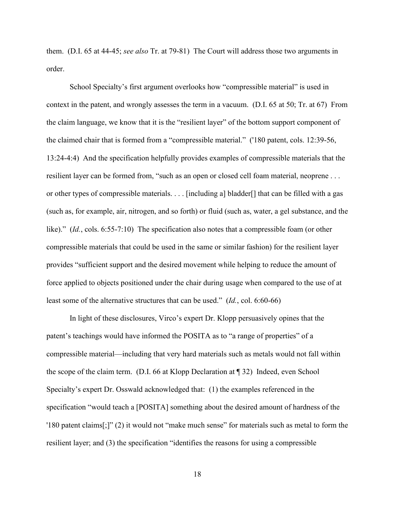them. (D.I. 65 at 44-45; *see also* Tr. at 79-81) The Court will address those two arguments in order.

School Specialty's first argument overlooks how "compressible material" is used in context in the patent, and wrongly assesses the term in a vacuum. (D.I. 65 at 50; Tr. at 67) From the claim language, we know that it is the "resilient layer" of the bottom support component of the claimed chair that is formed from a "compressible material." ('180 patent, cols. 12:39-56, 13:24-4:4) And the specification helpfully provides examples of compressible materials that the resilient layer can be formed from, "such as an open or closed cell foam material, neoprene . . . or other types of compressible materials. . . . [including a] bladder[] that can be filled with a gas (such as, for example, air, nitrogen, and so forth) or fluid (such as, water, a gel substance, and the like)." (*Id.*, cols. 6:55-7:10) The specification also notes that a compressible foam (or other compressible materials that could be used in the same or similar fashion) for the resilient layer provides "sufficient support and the desired movement while helping to reduce the amount of force applied to objects positioned under the chair during usage when compared to the use of at least some of the alternative structures that can be used." (*Id.*, col. 6:60-66)

In light of these disclosures, Virco's expert Dr. Klopp persuasively opines that the patent's teachings would have informed the POSITA as to "a range of properties" of a compressible material—including that very hard materials such as metals would not fall within the scope of the claim term. (D.I. 66 at Klopp Declaration at ¶ 32) Indeed, even School Specialty's expert Dr. Osswald acknowledged that: (1) the examples referenced in the specification "would teach a [POSITA] something about the desired amount of hardness of the '180 patent claims[;]" (2) it would not "make much sense" for materials such as metal to form the resilient layer; and (3) the specification "identifies the reasons for using a compressible

18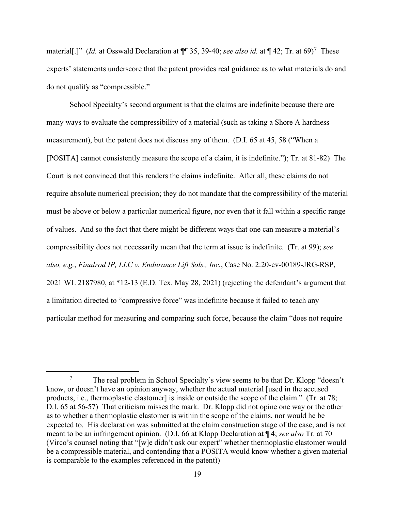material[.]" (*Id.* at Osswald Declaration at ¶¶ 35, 39-40; *see also id.* at ¶ 42; Tr. at 69) <sup>7</sup> These experts' statements underscore that the patent provides real guidance as to what materials do and do not qualify as "compressible."

School Specialty's second argument is that the claims are indefinite because there are many ways to evaluate the compressibility of a material (such as taking a Shore A hardness measurement), but the patent does not discuss any of them. (D.I. 65 at 45, 58 ("When a [POSITA] cannot consistently measure the scope of a claim, it is indefinite."); Tr. at 81-82) The Court is not convinced that this renders the claims indefinite. After all, these claims do not require absolute numerical precision; they do not mandate that the compressibility of the material must be above or below a particular numerical figure, nor even that it fall within a specific range of values. And so the fact that there might be different ways that one can measure a material's compressibility does not necessarily mean that the term at issue is indefinite. (Tr. at 99); *see also, e.g.*, *Finalrod IP, LLC v. Endurance Lift Sols., Inc.*, Case No. 2:20-cv-00189-JRG-RSP, 2021 WL 2187980, at \*12-13 (E.D. Tex. May 28, 2021) (rejecting the defendant's argument that a limitation directed to "compressive force" was indefinite because it failed to teach any particular method for measuring and comparing such force, because the claim "does not require

<sup>7</sup> The real problem in School Specialty's view seems to be that Dr. Klopp "doesn't know, or doesn't have an opinion anyway, whether the actual material [used in the accused products, i.e., thermoplastic elastomer] is inside or outside the scope of the claim." (Tr. at 78; D.I. 65 at 56-57) That criticism misses the mark. Dr. Klopp did not opine one way or the other as to whether a thermoplastic elastomer is within the scope of the claims, nor would he be expected to. His declaration was submitted at the claim construction stage of the case, and is not meant to be an infringement opinion. (D.I. 66 at Klopp Declaration at ¶ 4; *see also* Tr. at 70 (Virco's counsel noting that "[w]e didn't ask our expert" whether thermoplastic elastomer would be a compressible material, and contending that a POSITA would know whether a given material is comparable to the examples referenced in the patent))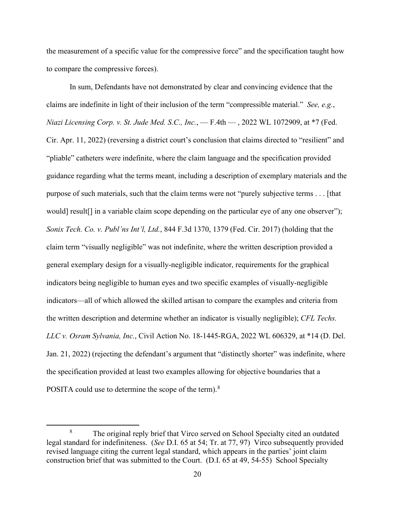the measurement of a specific value for the compressive force" and the specification taught how to compare the compressive forces).

In sum, Defendants have not demonstrated by clear and convincing evidence that the claims are indefinite in light of their inclusion of the term "compressible material." *See, e.g.*, *Niazi Licensing Corp. v. St. Jude Med. S.C., Inc.*, — F.4th — , 2022 WL 1072909, at \*7 (Fed. Cir. Apr. 11, 2022) (reversing a district court's conclusion that claims directed to "resilient" and "pliable" catheters were indefinite, where the claim language and the specification provided guidance regarding what the terms meant, including a description of exemplary materials and the purpose of such materials, such that the claim terms were not "purely subjective terms . . . [that would] result[] in a variable claim scope depending on the particular eye of any one observer"); *Sonix Tech. Co. v. Publ'ns Int'l, Ltd.*, 844 F.3d 1370, 1379 (Fed. Cir. 2017) (holding that the claim term "visually negligible" was not indefinite, where the written description provided a general exemplary design for a visually-negligible indicator, requirements for the graphical indicators being negligible to human eyes and two specific examples of visually-negligible indicators—all of which allowed the skilled artisan to compare the examples and criteria from the written description and determine whether an indicator is visually negligible); *CFL Techs. LLC v. Osram Sylvania, Inc.*, Civil Action No. 18-1445-RGA, 2022 WL 606329, at \*14 (D. Del. Jan. 21, 2022) (rejecting the defendant's argument that "distinctly shorter" was indefinite, where the specification provided at least two examples allowing for objective boundaries that a POSITA could use to determine the scope of the term). $8$ 

<sup>&</sup>lt;sup>8</sup> The original reply brief that Virco served on School Specialty cited an outdated legal standard for indefiniteness. (*See* D.I. 65 at 54; Tr. at 77, 97) Virco subsequently provided revised language citing the current legal standard, which appears in the parties' joint claim construction brief that was submitted to the Court. (D.I. 65 at 49, 54-55) School Specialty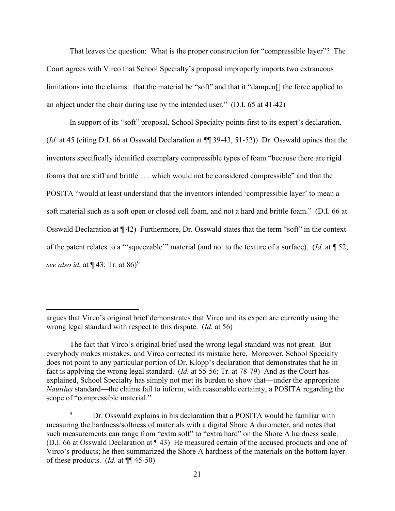That leaves the question: What is the proper construction for "compressible layer"? The Court agrees with Virco that School Specialty's proposal improperly imports two extraneous limitations into the claims: that the material be "soft" and that it "dampen<sup>[]</sup> the force applied to an object under the chair during use by the intended user." (D.I. 65 at 41-42)

In support of its "soft" proposal, School Specialty points first to its expert's declaration. (*Id.* at 45 (citing D.I. 66 at Osswald Declaration at ¶¶ 39-43, 51-52)) Dr. Osswald opines that the inventors specifically identified exemplary compressible types of foam "because there are rigid foams that are stiff and brittle . . . which would not be considered compressible" and that the POSITA "would at least understand that the inventors intended 'compressible layer' to mean a soft material such as a soft open or closed cell foam, and not a hard and brittle foam." (D.I. 66 at Osswald Declaration at ¶ 42) Furthermore, Dr. Osswald states that the term "soft" in the context of the patent relates to a "'squeezable'" material (and not to the texture of a surface). (*Id.* at ¶ 52; *see also id.* at  $\P$  43; Tr. at 86)<sup>9</sup>

argues that Virco's original brief demonstrates that Virco and its expert are currently using the wrong legal standard with respect to this dispute. (*Id.* at 56)

The fact that Virco's original brief used the wrong legal standard was not great. But everybody makes mistakes, and Virco corrected its mistake here. Moreover, School Specialty does not point to any particular portion of Dr. Klopp's declaration that demonstrates that he in fact is applying the wrong legal standard. (*Id.* at 55-56; Tr. at 78-79) And as the Court has explained, School Specialty has simply not met its burden to show that—under the appropriate *Nautilus* standard—the claims fail to inform, with reasonable certainty, a POSITA regarding the scope of "compressible material."

<sup>&</sup>lt;sup>9</sup> Dr. Osswald explains in his declaration that a POSITA would be familiar with measuring the hardness/softness of materials with a digital Shore A durometer, and notes that such measurements can range from "extra soft" to "extra hard" on the Shore A hardness scale. (D.I. 66 at Osswald Declaration at ¶ 43) He measured certain of the accused products and one of Virco's products; he then summarized the Shore A hardness of the materials on the bottom layer of these products. (*Id.* at ¶¶ 45-50)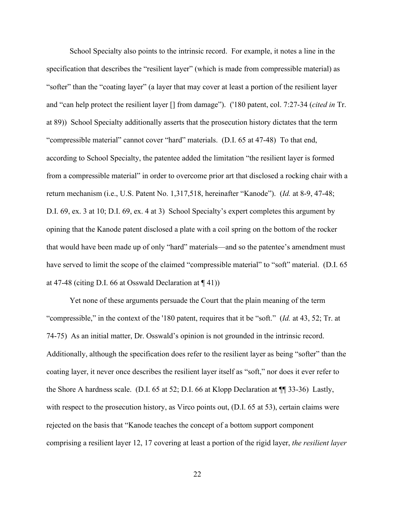School Specialty also points to the intrinsic record. For example, it notes a line in the specification that describes the "resilient layer" (which is made from compressible material) as "softer" than the "coating layer" (a layer that may cover at least a portion of the resilient layer and "can help protect the resilient layer [] from damage"). ('180 patent, col. 7:27-34 (*cited in* Tr. at 89)) School Specialty additionally asserts that the prosecution history dictates that the term "compressible material" cannot cover "hard" materials. (D.I. 65 at 47-48) To that end, according to School Specialty, the patentee added the limitation "the resilient layer is formed from a compressible material" in order to overcome prior art that disclosed a rocking chair with a return mechanism (i.e., U.S. Patent No. 1,317,518, hereinafter "Kanode"). (*Id.* at 8-9, 47-48; D.I. 69, ex. 3 at 10; D.I. 69, ex. 4 at 3) School Specialty's expert completes this argument by opining that the Kanode patent disclosed a plate with a coil spring on the bottom of the rocker that would have been made up of only "hard" materials—and so the patentee's amendment must have served to limit the scope of the claimed "compressible material" to "soft" material. (D.I. 65) at 47-48 (citing D.I. 66 at Osswald Declaration at  $\P$  41))

Yet none of these arguments persuade the Court that the plain meaning of the term "compressible," in the context of the '180 patent, requires that it be "soft." (*Id.* at 43, 52; Tr. at 74-75) As an initial matter, Dr. Osswald's opinion is not grounded in the intrinsic record. Additionally, although the specification does refer to the resilient layer as being "softer" than the coating layer, it never once describes the resilient layer itself as "soft," nor does it ever refer to the Shore A hardness scale. (D.I. 65 at 52; D.I. 66 at Klopp Declaration at ¶¶ 33-36) Lastly, with respect to the prosecution history, as Virco points out, (D.I. 65 at 53), certain claims were rejected on the basis that "Kanode teaches the concept of a bottom support component comprising a resilient layer 12, 17 covering at least a portion of the rigid layer, *the resilient layer*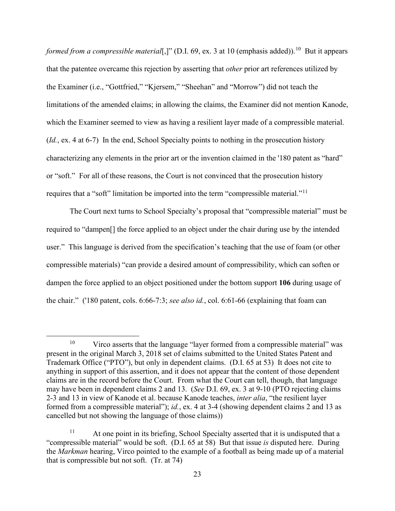*formed from a compressible material*[,]" (D.I. 69, ex. 3 at 10 (emphasis added)).<sup>10</sup> But it appears that the patentee overcame this rejection by asserting that *other* prior art references utilized by the Examiner (i.e., "Gottfried," "Kjersem," "Sheehan" and "Morrow") did not teach the limitations of the amended claims; in allowing the claims, the Examiner did not mention Kanode, which the Examiner seemed to view as having a resilient layer made of a compressible material. (*Id.*, ex. 4 at 6-7) In the end, School Specialty points to nothing in the prosecution history characterizing any elements in the prior art or the invention claimed in the '180 patent as "hard" or "soft." For all of these reasons, the Court is not convinced that the prosecution history requires that a "soft" limitation be imported into the term "compressible material."11

The Court next turns to School Specialty's proposal that "compressible material" must be required to "dampen[] the force applied to an object under the chair during use by the intended user." This language is derived from the specification's teaching that the use of foam (or other compressible materials) "can provide a desired amount of compressibility, which can soften or dampen the force applied to an object positioned under the bottom support **106** during usage of the chair." ('180 patent, cols. 6:66-7:3; *see also id.*, col. 6:61-66 (explaining that foam can

 $10$  Virco asserts that the language "layer formed from a compressible material" was present in the original March 3, 2018 set of claims submitted to the United States Patent and Trademark Office ("PTO"), but only in dependent claims. (D.I. 65 at 53) It does not cite to anything in support of this assertion, and it does not appear that the content of those dependent claims are in the record before the Court. From what the Court can tell, though, that language may have been in dependent claims 2 and 13. (*See* D.I. 69, ex. 3 at 9-10 (PTO rejecting claims 2-3 and 13 in view of Kanode et al. because Kanode teaches, *inter alia*, "the resilient layer formed from a compressible material"); *id.*, ex. 4 at 3-4 (showing dependent claims 2 and 13 as cancelled but not showing the language of those claims))

 $11$  At one point in its briefing, School Specialty asserted that it is undisputed that a "compressible material" would be soft. (D.I. 65 at 58) But that issue *is* disputed here. During the *Markman* hearing, Virco pointed to the example of a football as being made up of a material that is compressible but not soft. (Tr. at 74)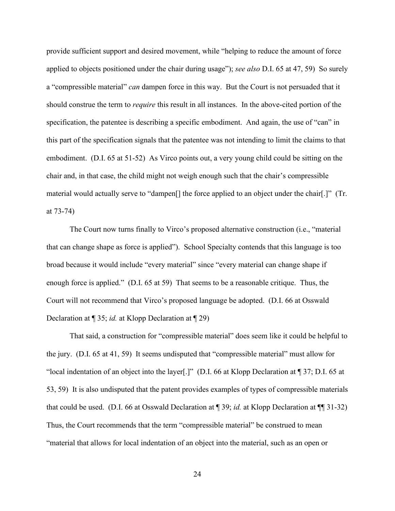provide sufficient support and desired movement, while "helping to reduce the amount of force applied to objects positioned under the chair during usage"); *see also* D.I. 65 at 47, 59) So surely a "compressible material" *can* dampen force in this way. But the Court is not persuaded that it should construe the term to *require* this result in all instances. In the above-cited portion of the specification, the patentee is describing a specific embodiment. And again, the use of "can" in this part of the specification signals that the patentee was not intending to limit the claims to that embodiment. (D.I. 65 at 51-52) As Virco points out, a very young child could be sitting on the chair and, in that case, the child might not weigh enough such that the chair's compressible material would actually serve to "dampen[] the force applied to an object under the chair[.]" (Tr. at 73-74)

The Court now turns finally to Virco's proposed alternative construction (i.e., "material that can change shape as force is applied"). School Specialty contends that this language is too broad because it would include "every material" since "every material can change shape if enough force is applied." (D.I. 65 at 59) That seems to be a reasonable critique. Thus, the Court will not recommend that Virco's proposed language be adopted. (D.I. 66 at Osswald Declaration at ¶ 35; *id.* at Klopp Declaration at ¶ 29)

That said, a construction for "compressible material" does seem like it could be helpful to the jury. (D.I. 65 at 41, 59) It seems undisputed that "compressible material" must allow for "local indentation of an object into the layer[.]" (D.I. 66 at Klopp Declaration at ¶ 37; D.I. 65 at 53, 59) It is also undisputed that the patent provides examples of types of compressible materials that could be used. (D.I. 66 at Osswald Declaration at ¶ 39; *id.* at Klopp Declaration at ¶¶ 31-32) Thus, the Court recommends that the term "compressible material" be construed to mean "material that allows for local indentation of an object into the material, such as an open or

24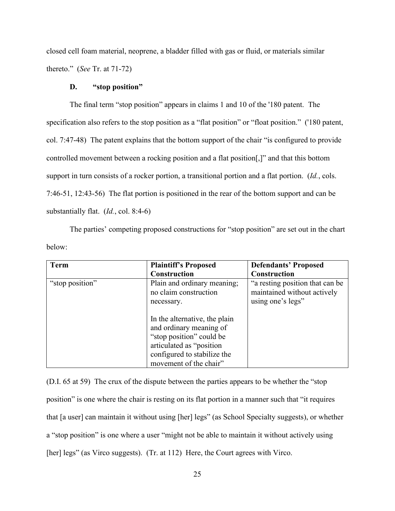closed cell foam material, neoprene, a bladder filled with gas or fluid, or materials similar thereto." (*See* Tr. at 71-72)

### **D. "stop position"**

The final term "stop position" appears in claims 1 and 10 of the '180 patent. The specification also refers to the stop position as a "flat position" or "float position." ('180 patent, col. 7:47-48) The patent explains that the bottom support of the chair "is configured to provide controlled movement between a rocking position and a flat position. "Y" and that this bottom support in turn consists of a rocker portion, a transitional portion and a flat portion. (*Id.*, cols. 7:46-51, 12:43-56) The flat portion is positioned in the rear of the bottom support and can be substantially flat. (*Id.*, col. 8:4-6)

The parties' competing proposed constructions for "stop position" are set out in the chart below:

| <b>Term</b>     | <b>Plaintiff's Proposed</b>                                                                                                                                               | <b>Defendants' Proposed</b>                                                         |
|-----------------|---------------------------------------------------------------------------------------------------------------------------------------------------------------------------|-------------------------------------------------------------------------------------|
|                 | Construction                                                                                                                                                              | <b>Construction</b>                                                                 |
| "stop position" | Plain and ordinary meaning;<br>no claim construction<br>necessary.                                                                                                        | "a resting position that can be<br>maintained without actively<br>using one's legs" |
|                 | In the alternative, the plain<br>and ordinary meaning of<br>"stop position" could be<br>articulated as "position<br>configured to stabilize the<br>movement of the chair" |                                                                                     |

(D.I. 65 at 59) The crux of the dispute between the parties appears to be whether the "stop position" is one where the chair is resting on its flat portion in a manner such that "it requires that [a user] can maintain it without using [her] legs" (as School Specialty suggests), or whether a "stop position" is one where a user "might not be able to maintain it without actively using [her] legs" (as Virco suggests). (Tr. at 112) Here, the Court agrees with Virco.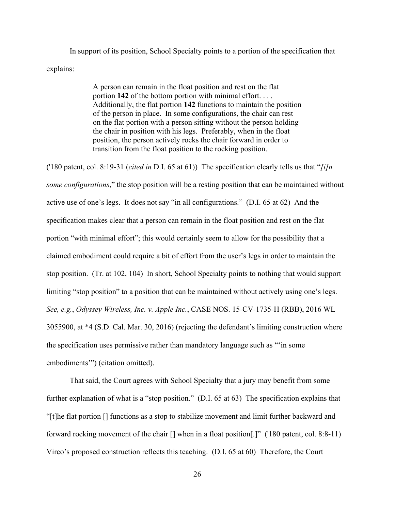In support of its position, School Specialty points to a portion of the specification that explains:

> A person can remain in the float position and rest on the flat portion **142** of the bottom portion with minimal effort. . . . Additionally, the flat portion **142** functions to maintain the position of the person in place. In some configurations, the chair can rest on the flat portion with a person sitting without the person holding the chair in position with his legs. Preferably, when in the float position, the person actively rocks the chair forward in order to transition from the float position to the rocking position.

('180 patent, col. 8:19-31 (*cited in* D.I. 65 at 61)) The specification clearly tells us that "*[i]n some configurations*," the stop position will be a resting position that can be maintained without active use of one's legs. It does not say "in all configurations." (D.I. 65 at 62) And the specification makes clear that a person can remain in the float position and rest on the flat portion "with minimal effort"; this would certainly seem to allow for the possibility that a claimed embodiment could require a bit of effort from the user's legs in order to maintain the stop position. (Tr. at 102, 104) In short, School Specialty points to nothing that would support limiting "stop position" to a position that can be maintained without actively using one's legs. *See, e.g.*, *Odyssey Wireless, Inc. v. Apple Inc.*, CASE NOS. 15-CV-1735-H (RBB), 2016 WL 3055900, at \*4 (S.D. Cal. Mar. 30, 2016) (rejecting the defendant's limiting construction where the specification uses permissive rather than mandatory language such as "'in some embodiments'") (citation omitted).

That said, the Court agrees with School Specialty that a jury may benefit from some further explanation of what is a "stop position." (D.I. 65 at 63) The specification explains that "[t]he flat portion [] functions as a stop to stabilize movement and limit further backward and forward rocking movement of the chair [] when in a float position[.]" ('180 patent, col. 8:8-11) Virco's proposed construction reflects this teaching. (D.I. 65 at 60) Therefore, the Court